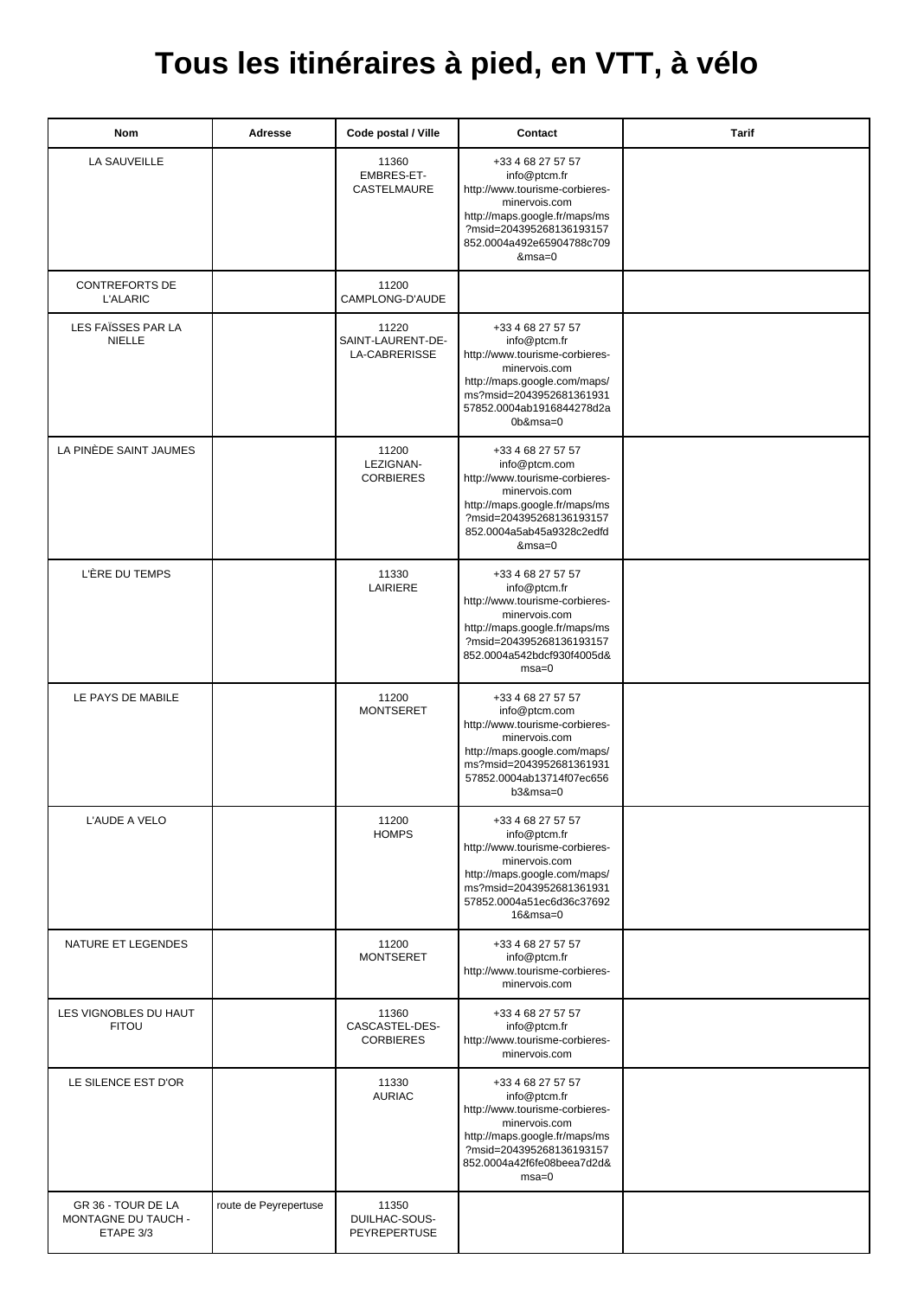## **Tous les itinéraires à pied, en VTT, à vélo**

| Nom                                                    | Adresse               | Code postal / Ville                         | Contact                                                                                                                                                                                       | Tarif |
|--------------------------------------------------------|-----------------------|---------------------------------------------|-----------------------------------------------------------------------------------------------------------------------------------------------------------------------------------------------|-------|
| LA SAUVEILLE                                           |                       | 11360<br>EMBRES-ET-<br>CASTELMAURE          | +33 4 68 27 57 57<br>info@ptcm.fr<br>http://www.tourisme-corbieres-<br>minervois.com<br>http://maps.google.fr/maps/ms<br>?msid=204395268136193157<br>852.0004a492e65904788c709<br>&msa=0      |       |
| <b>CONTREFORTS DE</b><br><b>L'ALARIC</b>               |                       | 11200<br>CAMPLONG-D'AUDE                    |                                                                                                                                                                                               |       |
| LES FAÏSSES PAR LA<br><b>NIELLE</b>                    |                       | 11220<br>SAINT-LAURENT-DE-<br>LA-CABRERISSE | +33 4 68 27 57 57<br>info@ptcm.fr<br>http://www.tourisme-corbieres-<br>minervois.com<br>http://maps.google.com/maps/<br>ms?msid=2043952681361931<br>57852.0004ab1916844278d2a<br>$0b$ &msa=0  |       |
| LA PINÈDE SAINT JAUMES                                 |                       | 11200<br>LEZIGNAN-<br><b>CORBIERES</b>      | +33 4 68 27 57 57<br>info@ptcm.com<br>http://www.tourisme-corbieres-<br>minervois.com<br>http://maps.google.fr/maps/ms<br>?msid=204395268136193157<br>852.0004a5ab45a9328c2edfd<br>&msa=0     |       |
| L'ÈRE DU TEMPS                                         |                       | 11330<br>LAIRIERE                           | +33 4 68 27 57 57<br>info@ptcm.fr<br>http://www.tourisme-corbieres-<br>minervois.com<br>http://maps.google.fr/maps/ms<br>?msid=204395268136193157<br>852.0004a542bdcf930f4005d&<br>$msa=0$    |       |
| LE PAYS DE MABILE                                      |                       | 11200<br><b>MONTSERET</b>                   | +33 4 68 27 57 57<br>info@ptcm.com<br>http://www.tourisme-corbieres-<br>minervois.com<br>http://maps.google.com/maps/<br>ms?msid=2043952681361931<br>57852.0004ab13714f07ec656<br>$b3$ &msa=0 |       |
| L'AUDE A VELO                                          |                       | 11200<br><b>HOMPS</b>                       | +33 4 68 27 57 57<br>info@ptcm.fr<br>http://www.tourisme-corbieres-<br>minervois.com<br>http://maps.google.com/maps/<br>ms?msid=2043952681361931<br>57852.0004a51ec6d36c37692<br>$16$ &msa=0  |       |
| NATURE ET LEGENDES                                     |                       | 11200<br><b>MONTSERET</b>                   | +33 4 68 27 57 57<br>info@ptcm.fr<br>http://www.tourisme-corbieres-<br>minervois.com                                                                                                          |       |
| LES VIGNOBLES DU HAUT<br><b>FITOU</b>                  |                       | 11360<br>CASCASTEL-DES-<br><b>CORBIERES</b> | +33 4 68 27 57 57<br>info@ptcm.fr<br>http://www.tourisme-corbieres-<br>minervois.com                                                                                                          |       |
| LE SILENCE EST D'OR                                    |                       | 11330<br><b>AURIAC</b>                      | +33 4 68 27 57 57<br>info@ptcm.fr<br>http://www.tourisme-corbieres-<br>minervois.com<br>http://maps.google.fr/maps/ms<br>?msid=204395268136193157<br>852.0004a42f6fe08beea7d2d&<br>$msa=0$    |       |
| GR 36 - TOUR DE LA<br>MONTAGNE DU TAUCH -<br>ETAPE 3/3 | route de Peyrepertuse | 11350<br>DUILHAC-SOUS-<br>PEYREPERTUSE      |                                                                                                                                                                                               |       |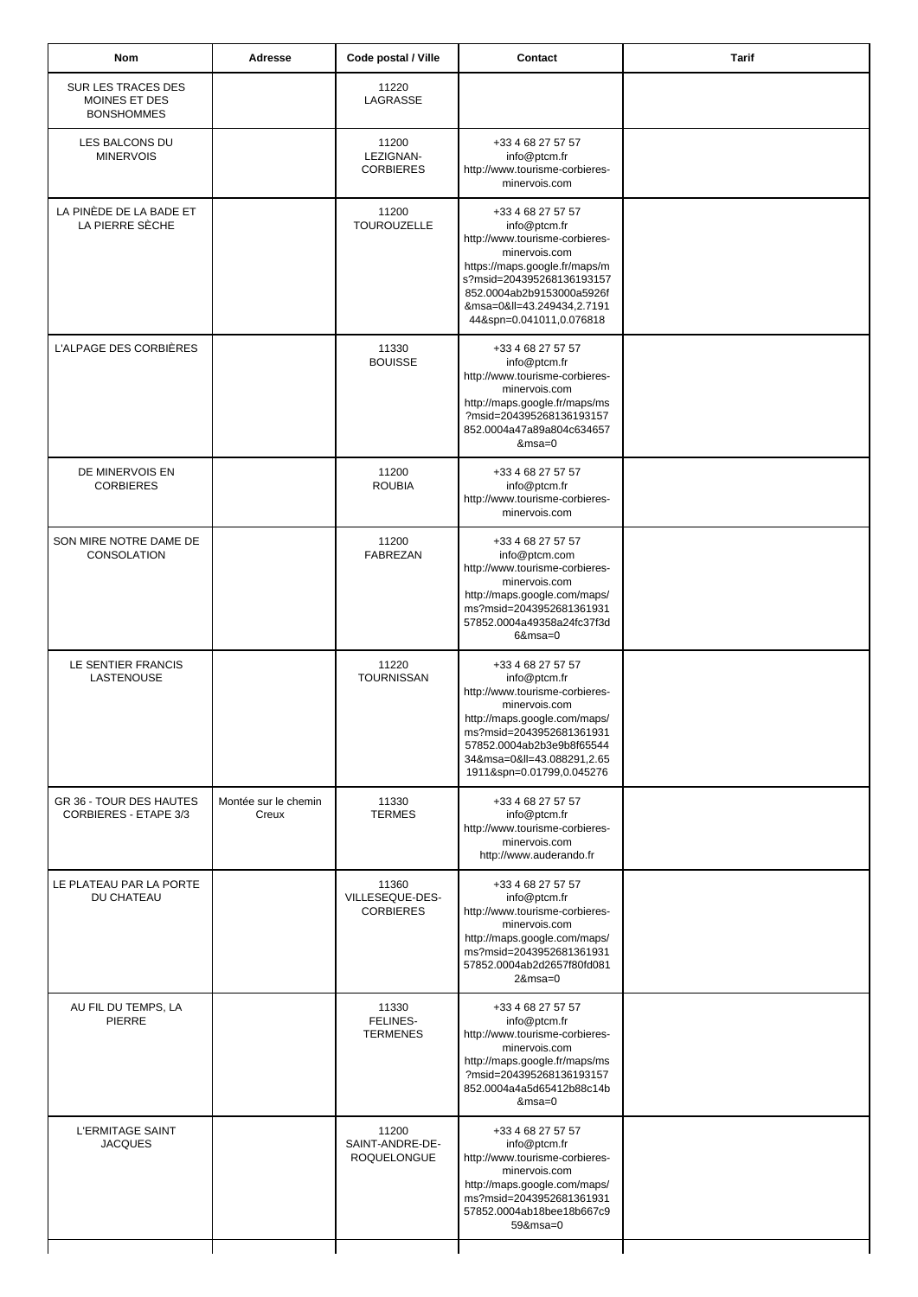| <b>Nom</b>                                               | Adresse                       | Code postal / Ville                            | Contact                                                                                                                                                                                                                                 | <b>Tarif</b> |
|----------------------------------------------------------|-------------------------------|------------------------------------------------|-----------------------------------------------------------------------------------------------------------------------------------------------------------------------------------------------------------------------------------------|--------------|
| SUR LES TRACES DES<br>MOINES ET DES<br><b>BONSHOMMES</b> |                               | 11220<br>LAGRASSE                              |                                                                                                                                                                                                                                         |              |
| LES BALCONS DU<br><b>MINERVOIS</b>                       |                               | 11200<br>LEZIGNAN-<br><b>CORBIERES</b>         | +33 4 68 27 57 57<br>info@ptcm.fr<br>http://www.tourisme-corbieres-<br>minervois.com                                                                                                                                                    |              |
| LA PINÈDE DE LA BADE ET<br>LA PIERRE SÉCHE               |                               | 11200<br><b>TOUROUZELLE</b>                    | +33 4 68 27 57 57<br>info@ptcm.fr<br>http://www.tourisme-corbieres-<br>minervois.com<br>https://maps.google.fr/maps/m<br>s?msid=204395268136193157<br>852.0004ab2b9153000a5926f<br>&msa=0≪=43.249434,2.7191<br>44&spn=0.041011,0.076818 |              |
| L'ALPAGE DES CORBIÈRES                                   |                               | 11330<br><b>BOUISSE</b>                        | +33 4 68 27 57 57<br>info@ptcm.fr<br>http://www.tourisme-corbieres-<br>minervois.com<br>http://maps.google.fr/maps/ms<br>?msid=204395268136193157<br>852.0004a47a89a804c634657<br>$&msa=0$                                              |              |
| DE MINERVOIS EN<br><b>CORBIERES</b>                      |                               | 11200<br><b>ROUBIA</b>                         | +33 4 68 27 57 57<br>info@ptcm.fr<br>http://www.tourisme-corbieres-<br>minervois.com                                                                                                                                                    |              |
| SON MIRE NOTRE DAME DE<br>CONSOLATION                    |                               | 11200<br><b>FABREZAN</b>                       | +33 4 68 27 57 57<br>info@ptcm.com<br>http://www.tourisme-corbieres-<br>minervois.com<br>http://maps.google.com/maps/<br>ms?msid=2043952681361931<br>57852.0004a49358a24fc37f3d<br>$6$ &msa=0                                           |              |
| LE SENTIER FRANCIS<br>LASTENOUSE                         |                               | 11220<br><b>TOURNISSAN</b>                     | +33 4 68 27 57 57<br>info@ptcm.fr<br>http://www.tourisme-corbieres-<br>minervois.com<br>http://maps.google.com/maps/<br>ms?msid=2043952681361931<br>57852.0004ab2b3e9b8f65544<br>34&msa=0≪=43.088291,2.65<br>1911&spn=0.01799,0.045276  |              |
| GR 36 - TOUR DES HAUTES<br>CORBIERES - ETAPE 3/3         | Montée sur le chemin<br>Creux | 11330<br><b>TERMES</b>                         | +33 4 68 27 57 57<br>info@ptcm.fr<br>http://www.tourisme-corbieres-<br>minervois.com<br>http://www.auderando.fr                                                                                                                         |              |
| LE PLATEAU PAR LA PORTE<br><b>DU CHATEAU</b>             |                               | 11360<br>VILLESEQUE-DES-<br><b>CORBIERES</b>   | +33 4 68 27 57 57<br>info@ptcm.fr<br>http://www.tourisme-corbieres-<br>minervois.com<br>http://maps.google.com/maps/<br>ms?msid=2043952681361931<br>57852.0004ab2d2657f80fd081<br>$2$ &msa=0                                            |              |
| AU FIL DU TEMPS, LA<br><b>PIERRE</b>                     |                               | 11330<br>FELINES-<br><b>TERMENES</b>           | +33 4 68 27 57 57<br>info@ptcm.fr<br>http://www.tourisme-corbieres-<br>minervois.com<br>http://maps.google.fr/maps/ms<br>?msid=204395268136193157<br>852.0004a4a5d65412b88c14b<br>&msa=0                                                |              |
| <b>L'ERMITAGE SAINT</b><br><b>JACQUES</b>                |                               | 11200<br>SAINT-ANDRE-DE-<br><b>ROQUELONGUE</b> | +33 4 68 27 57 57<br>info@ptcm.fr<br>http://www.tourisme-corbieres-<br>minervois.com<br>http://maps.google.com/maps/<br>ms?msid=2043952681361931<br>57852.0004ab18bee18b667c9<br>59&msa=0                                               |              |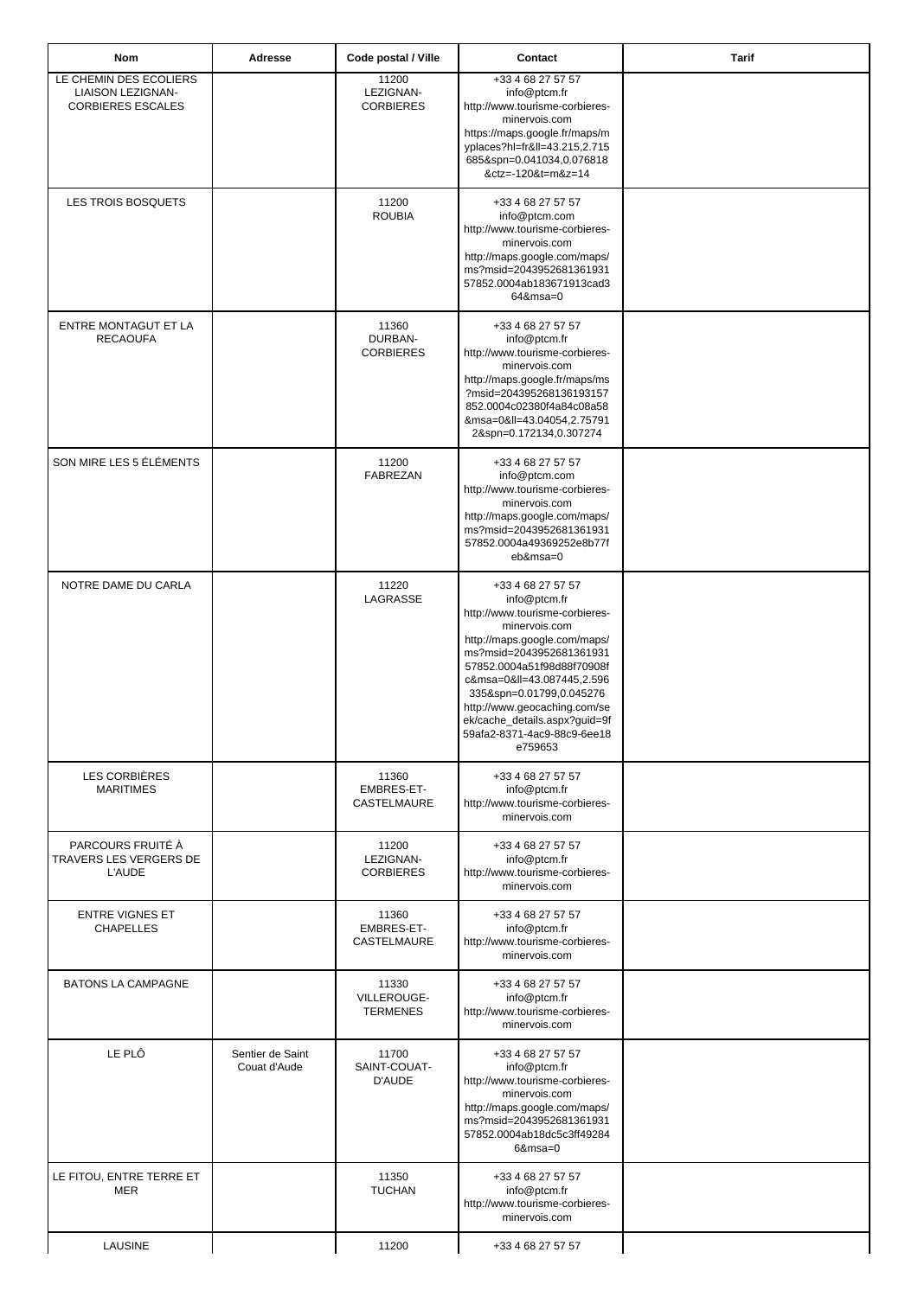| Nom                                                                     | Adresse                          | Code postal / Ville                       | Contact                                                                                                                                                                                                                                                                                                                                           | <b>Tarif</b> |
|-------------------------------------------------------------------------|----------------------------------|-------------------------------------------|---------------------------------------------------------------------------------------------------------------------------------------------------------------------------------------------------------------------------------------------------------------------------------------------------------------------------------------------------|--------------|
| LE CHEMIN DES ECOLIERS<br>LIAISON LEZIGNAN-<br><b>CORBIERES ESCALES</b> |                                  | 11200<br>LEZIGNAN-<br><b>CORBIERES</b>    | +33 4 68 27 57 57<br>info@ptcm.fr<br>http://www.tourisme-corbieres-<br>minervois.com<br>https://maps.google.fr/maps/m<br>yplaces?hl=fr≪=43.215,2.715<br>685&spn=0.041034,0.076818<br>&ctz=-120&t=m&z=14                                                                                                                                           |              |
| LES TROIS BOSQUETS                                                      |                                  | 11200<br><b>ROUBIA</b>                    | +33 4 68 27 57 57<br>info@ptcm.com<br>http://www.tourisme-corbieres-<br>minervois.com<br>http://maps.google.com/maps/<br>ms?msid=2043952681361931<br>57852.0004ab183671913cad3<br>64&msa=0                                                                                                                                                        |              |
| ENTRE MONTAGUT ET LA<br><b>RECAOUFA</b>                                 |                                  | 11360<br>DURBAN-<br><b>CORBIERES</b>      | +33 4 68 27 57 57<br>info@ptcm.fr<br>http://www.tourisme-corbieres-<br>minervois.com<br>http://maps.google.fr/maps/ms<br>?msid=204395268136193157<br>852.0004c02380f4a84c08a58<br>&msa=0≪=43.04054,2.75791<br>2&spn=0.172134,0.307274                                                                                                             |              |
| SON MIRE LES 5 ÉLÉMENTS                                                 |                                  | 11200<br>FABREZAN                         | +33 4 68 27 57 57<br>info@ptcm.com<br>http://www.tourisme-corbieres-<br>minervois.com<br>http://maps.google.com/maps/<br>ms?msid=2043952681361931<br>57852.0004a49369252e8b77f<br>eb&msa=0                                                                                                                                                        |              |
| NOTRE DAME DU CARLA                                                     |                                  | 11220<br>LAGRASSE                         | +33 4 68 27 57 57<br>info@ptcm.fr<br>http://www.tourisme-corbieres-<br>minervois.com<br>http://maps.google.com/maps/<br>ms?msid=2043952681361931<br>57852.0004a51f98d88f70908f<br>c&msa=0≪=43.087445,2.596<br>335&spn=0.01799,0.045276<br>http://www.geocaching.com/se<br>ek/cache_details.aspx?guid=9f<br>59afa2-8371-4ac9-88c9-6ee18<br>e759653 |              |
| LES CORBIÈRES<br><b>MARITIMES</b>                                       |                                  | 11360<br>EMBRES-ET-<br><b>CASTELMAURE</b> | +33 4 68 27 57 57<br>info@ptcm.fr<br>http://www.tourisme-corbieres-<br>minervois.com                                                                                                                                                                                                                                                              |              |
| PARCOURS FRUITÉ À<br>TRAVERS LES VERGERS DE<br><b>L'AUDE</b>            |                                  | 11200<br>LEZIGNAN-<br><b>CORBIERES</b>    | +33 4 68 27 57 57<br>info@ptcm.fr<br>http://www.tourisme-corbieres-<br>minervois.com                                                                                                                                                                                                                                                              |              |
| <b>ENTRE VIGNES ET</b><br><b>CHAPELLES</b>                              |                                  | 11360<br>EMBRES-ET-<br>CASTELMAURE        | +33 4 68 27 57 57<br>info@ptcm.fr<br>http://www.tourisme-corbieres-<br>minervois.com                                                                                                                                                                                                                                                              |              |
| BATONS LA CAMPAGNE                                                      |                                  | 11330<br>VILLEROUGE-<br><b>TERMENES</b>   | +33 4 68 27 57 57<br>info@ptcm.fr<br>http://www.tourisme-corbieres-<br>minervois.com                                                                                                                                                                                                                                                              |              |
| LE PLÔ                                                                  | Sentier de Saint<br>Couat d'Aude | 11700<br>SAINT-COUAT-<br>D'AUDE           | +33 4 68 27 57 57<br>info@ptcm.fr<br>http://www.tourisme-corbieres-<br>minervois.com<br>http://maps.google.com/maps/<br>ms?msid=2043952681361931<br>57852.0004ab18dc5c3ff49284<br>$6$ &msa=0                                                                                                                                                      |              |
| LE FITOU, ENTRE TERRE ET<br>MER                                         |                                  | 11350<br><b>TUCHAN</b>                    | +33 4 68 27 57 57<br>info@ptcm.fr<br>http://www.tourisme-corbieres-<br>minervois.com                                                                                                                                                                                                                                                              |              |
| LAUSINE                                                                 |                                  | 11200                                     | +33 4 68 27 57 57                                                                                                                                                                                                                                                                                                                                 |              |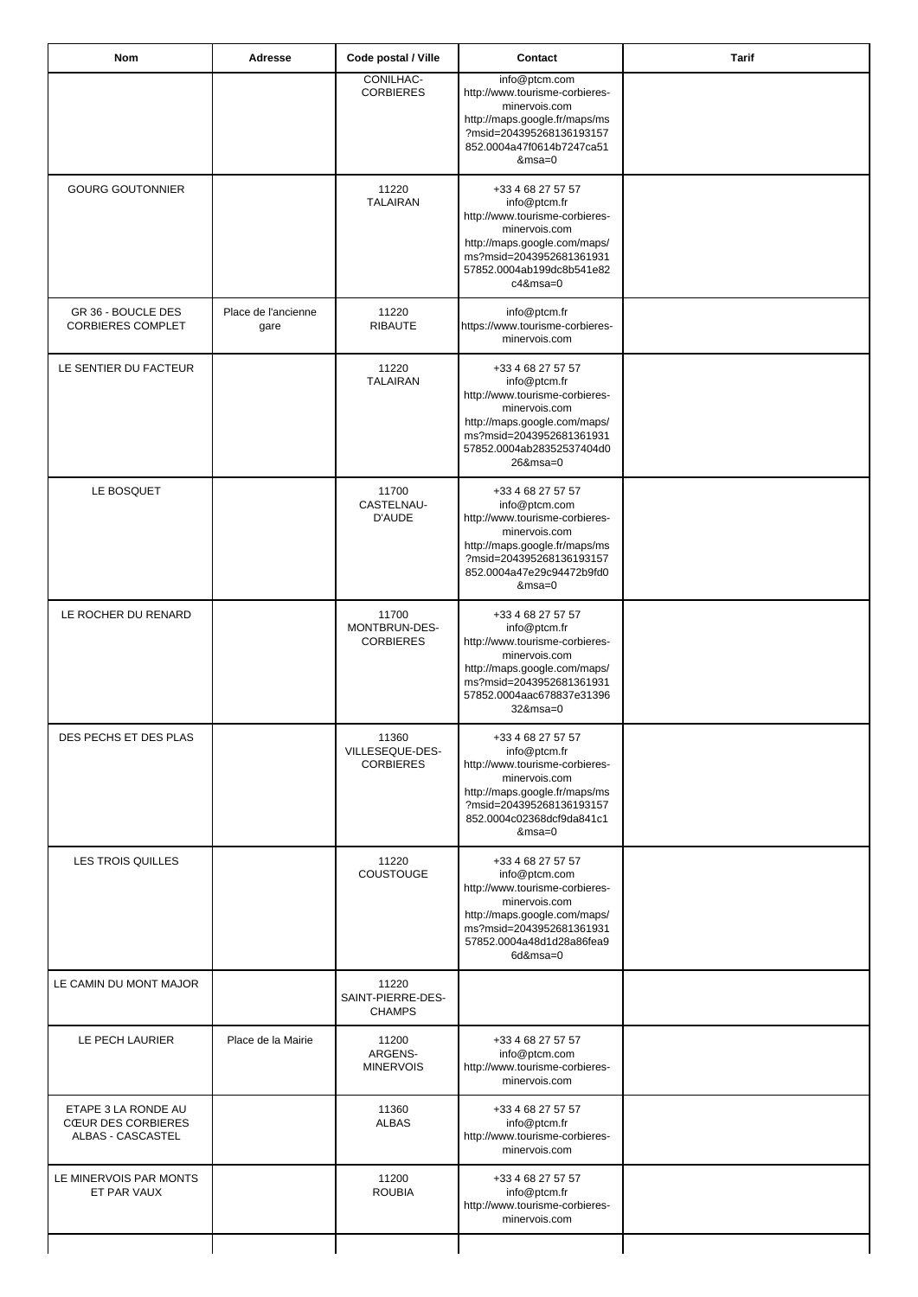| Nom                                                                   | <b>Adresse</b>              | Code postal / Ville                          | Contact                                                                                                                                                                                      | <b>Tarif</b> |
|-----------------------------------------------------------------------|-----------------------------|----------------------------------------------|----------------------------------------------------------------------------------------------------------------------------------------------------------------------------------------------|--------------|
|                                                                       |                             | CONILHAC-<br><b>CORBIERES</b>                | info@ptcm.com<br>http://www.tourisme-corbieres-<br>minervois.com<br>http://maps.google.fr/maps/ms<br>?msid=204395268136193157<br>852.0004a47f0614b7247ca51<br>$&msa=0$                       |              |
| <b>GOURG GOUTONNIER</b>                                               |                             | 11220<br><b>TALAIRAN</b>                     | +33 4 68 27 57 57<br>info@ptcm.fr<br>http://www.tourisme-corbieres-<br>minervois.com<br>http://maps.google.com/maps/<br>ms?msid=2043952681361931<br>57852.0004ab199dc8b541e82<br>$c4$ &msa=0 |              |
| GR 36 - BOUCLE DES<br><b>CORBIERES COMPLET</b>                        | Place de l'ancienne<br>gare | 11220<br><b>RIBAUTE</b>                      | info@ptcm.fr<br>https://www.tourisme-corbieres-<br>minervois.com                                                                                                                             |              |
| LE SENTIER DU FACTEUR                                                 |                             | 11220<br><b>TALAIRAN</b>                     | +33 4 68 27 57 57<br>info@ptcm.fr<br>http://www.tourisme-corbieres-<br>minervois.com<br>http://maps.google.com/maps/<br>ms?msid=2043952681361931<br>57852.0004ab28352537404d0<br>26&msa=0    |              |
| LE BOSQUET                                                            |                             | 11700<br>CASTELNAU-<br>D'AUDE                | +33 4 68 27 57 57<br>info@ptcm.com<br>http://www.tourisme-corbieres-<br>minervois.com<br>http://maps.google.fr/maps/ms<br>?msid=204395268136193157<br>852.0004a47e29c94472b9fd0<br>$&msa=0$  |              |
| LE ROCHER DU RENARD                                                   |                             | 11700<br>MONTBRUN-DES-<br><b>CORBIERES</b>   | +33 4 68 27 57 57<br>info@ptcm.fr<br>http://www.tourisme-corbieres-<br>minervois.com<br>http://maps.google.com/maps/<br>ms?msid=2043952681361931<br>57852.0004aac678837e31396<br>$32$ &msa=0 |              |
| DES PECHS ET DES PLAS                                                 |                             | 11360<br>VILLESEQUE-DES-<br><b>CORBIERES</b> | +33 4 68 27 57 57<br>info@ptcm.fr<br>http://www.tourisme-corbieres-<br>minervois.com<br>http://maps.google.fr/maps/ms<br>?msid=204395268136193157<br>852.0004c02368dcf9da841c1<br>$&msa=0$   |              |
| <b>LES TROIS QUILLES</b>                                              |                             | 11220<br>COUSTOUGE                           | +33 4 68 27 57 57<br>info@ptcm.com<br>http://www.tourisme-corbieres-<br>minervois.com<br>http://maps.google.com/maps/<br>ms?msid=2043952681361931<br>57852.0004a48d1d28a86fea9<br>6d&msa=0   |              |
| LE CAMIN DU MONT MAJOR                                                |                             | 11220<br>SAINT-PIERRE-DES-<br><b>CHAMPS</b>  |                                                                                                                                                                                              |              |
| LE PECH LAURIER                                                       | Place de la Mairie          | 11200<br>ARGENS-<br><b>MINERVOIS</b>         | +33 4 68 27 57 57<br>info@ptcm.com<br>http://www.tourisme-corbieres-<br>minervois.com                                                                                                        |              |
| ETAPE 3 LA RONDE AU<br><b>CŒUR DES CORBIERES</b><br>ALBAS - CASCASTEL |                             | 11360<br><b>ALBAS</b>                        | +33 4 68 27 57 57<br>info@ptcm.fr<br>http://www.tourisme-corbieres-<br>minervois.com                                                                                                         |              |
| LE MINERVOIS PAR MONTS<br>ET PAR VAUX                                 |                             | 11200<br><b>ROUBIA</b>                       | +33 4 68 27 57 57<br>info@ptcm.fr<br>http://www.tourisme-corbieres-<br>minervois.com                                                                                                         |              |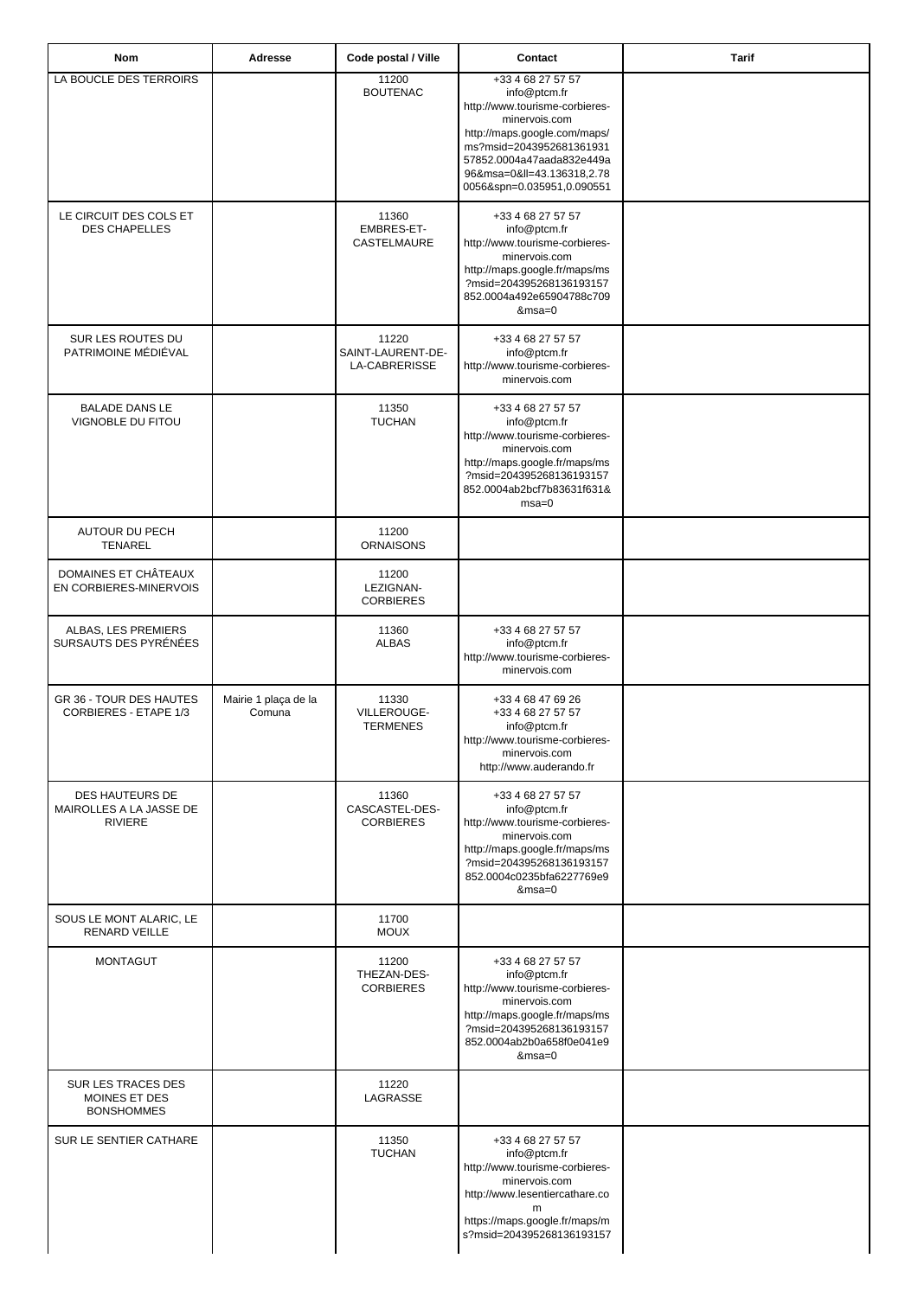| Nom                                                          | Adresse                        | Code postal / Ville                         | Contact                                                                                                                                                                                                                                 | <b>Tarif</b> |
|--------------------------------------------------------------|--------------------------------|---------------------------------------------|-----------------------------------------------------------------------------------------------------------------------------------------------------------------------------------------------------------------------------------------|--------------|
| LA BOUCLE DES TERROIRS                                       |                                | 11200<br><b>BOUTENAC</b>                    | +33 4 68 27 57 57<br>info@ptcm.fr<br>http://www.tourisme-corbieres-<br>minervois.com<br>http://maps.google.com/maps/<br>ms?msid=2043952681361931<br>57852.0004a47aada832e449a<br>96&msa=0≪=43.136318,2.78<br>0056&spn=0.035951,0.090551 |              |
| LE CIRCUIT DES COLS ET<br><b>DES CHAPELLES</b>               |                                | 11360<br>EMBRES-ET-<br>CASTELMAURE          | +33 4 68 27 57 57<br>info@ptcm.fr<br>http://www.tourisme-corbieres-<br>minervois.com<br>http://maps.google.fr/maps/ms<br>?msid=204395268136193157<br>852.0004a492e65904788c709<br>$&msa=0$                                              |              |
| SUR LES ROUTES DU<br>PATRIMOINE MÉDIÉVAL                     |                                | 11220<br>SAINT-LAURENT-DE-<br>LA-CABRERISSE | +33 4 68 27 57 57<br>info@ptcm.fr<br>http://www.tourisme-corbieres-<br>minervois.com                                                                                                                                                    |              |
| <b>BALADE DANS LE</b><br>VIGNOBLE DU FITOU                   |                                | 11350<br><b>TUCHAN</b>                      | +33 4 68 27 57 57<br>info@ptcm.fr<br>http://www.tourisme-corbieres-<br>minervois.com<br>http://maps.google.fr/maps/ms<br>?msid=204395268136193157<br>852.0004ab2bcf7b83631f631&<br>$msa=0$                                              |              |
| <b>AUTOUR DU PECH</b><br>TENAREL                             |                                | 11200<br><b>ORNAISONS</b>                   |                                                                                                                                                                                                                                         |              |
| DOMAINES ET CHÂTEAUX<br>EN CORBIERES-MINERVOIS               |                                | 11200<br>LEZIGNAN-<br><b>CORBIERES</b>      |                                                                                                                                                                                                                                         |              |
| ALBAS, LES PREMIERS<br>SURSAUTS DES PYRÉNÉES                 |                                | 11360<br><b>ALBAS</b>                       | +33 4 68 27 57 57<br>info@ptcm.fr<br>http://www.tourisme-corbieres-<br>minervois.com                                                                                                                                                    |              |
| GR 36 - TOUR DES HAUTES<br>CORBIERES - ETAPE 1/3             | Mairie 1 plaça de la<br>Comuna | 11330<br>VILLEROUGE-<br><b>TERMENES</b>     | +33 4 68 47 69 26<br>+33 4 68 27 57 57<br>info@ptcm.fr<br>http://www.tourisme-corbieres-<br>minervois.com<br>http://www.auderando.fr                                                                                                    |              |
| DES HAUTEURS DE<br>MAIROLLES A LA JASSE DE<br><b>RIVIERE</b> |                                | 11360<br>CASCASTEL-DES-<br><b>CORBIERES</b> | +33 4 68 27 57 57<br>info@ptcm.fr<br>http://www.tourisme-corbieres-<br>minervois.com<br>http://maps.google.fr/maps/ms<br>?msid=204395268136193157<br>852.0004c0235bfa6227769e9<br>$&msa=0$                                              |              |
| SOUS LE MONT ALARIC, LE<br><b>RENARD VEILLE</b>              |                                | 11700<br><b>MOUX</b>                        |                                                                                                                                                                                                                                         |              |
| <b>MONTAGUT</b>                                              |                                | 11200<br>THEZAN-DES-<br><b>CORBIERES</b>    | +33 4 68 27 57 57<br>info@ptcm.fr<br>http://www.tourisme-corbieres-<br>minervois.com<br>http://maps.google.fr/maps/ms<br>?msid=204395268136193157<br>852.0004ab2b0a658f0e041e9<br>&msa=0                                                |              |
| SUR LES TRACES DES<br>MOINES ET DES<br><b>BONSHOMMES</b>     |                                | 11220<br>LAGRASSE                           |                                                                                                                                                                                                                                         |              |
| SUR LE SENTIER CATHARE                                       |                                | 11350<br><b>TUCHAN</b>                      | +33 4 68 27 57 57<br>info@ptcm.fr<br>http://www.tourisme-corbieres-<br>minervois.com<br>http://www.lesentiercathare.co<br>https://maps.google.fr/maps/m<br>s?msid=204395268136193157                                                    |              |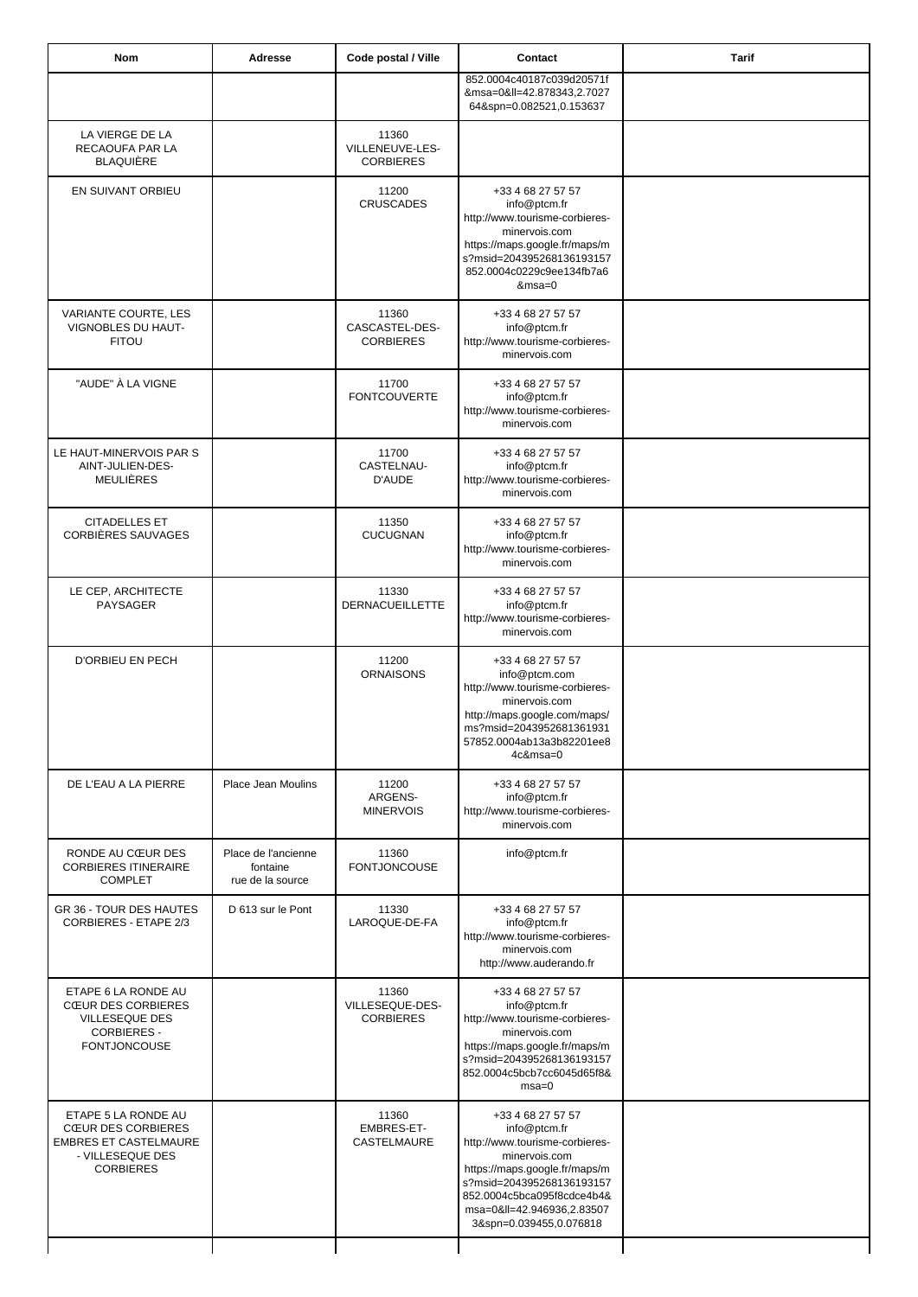| Nom                                                                                                                      | Adresse                                             | Code postal / Ville                          | Contact                                                                                                                                                                                                                                 | <b>Tarif</b> |
|--------------------------------------------------------------------------------------------------------------------------|-----------------------------------------------------|----------------------------------------------|-----------------------------------------------------------------------------------------------------------------------------------------------------------------------------------------------------------------------------------------|--------------|
|                                                                                                                          |                                                     |                                              | 852.0004c40187c039d20571f<br>&msa=0≪=42.878343,2.7027<br>64&spn=0.082521,0.153637                                                                                                                                                       |              |
| LA VIERGE DE LA<br>RECAOUFA PAR LA<br><b>BLAQUIÈRE</b>                                                                   |                                                     | 11360<br>VILLENEUVE-LES-<br><b>CORBIERES</b> |                                                                                                                                                                                                                                         |              |
| EN SUIVANT ORBIEU                                                                                                        |                                                     | 11200<br><b>CRUSCADES</b>                    | +33 4 68 27 57 57<br>info@ptcm.fr<br>http://www.tourisme-corbieres-<br>minervois.com<br>https://maps.google.fr/maps/m<br>s?msid=204395268136193157<br>852.0004c0229c9ee134fb7a6<br>$&msa=0$                                             |              |
| VARIANTE COURTE, LES<br>VIGNOBLES DU HAUT-<br><b>FITOU</b>                                                               |                                                     | 11360<br>CASCASTEL-DES-<br><b>CORBIERES</b>  | +33 4 68 27 57 57<br>info@ptcm.fr<br>http://www.tourisme-corbieres-<br>minervois.com                                                                                                                                                    |              |
| "AUDE" À LA VIGNE                                                                                                        |                                                     | 11700<br><b>FONTCOUVERTE</b>                 | +33 4 68 27 57 57<br>info@ptcm.fr<br>http://www.tourisme-corbieres-<br>minervois.com                                                                                                                                                    |              |
| LE HAUT-MINERVOIS PAR S<br>AINT-JULIEN-DES-<br>MEULIÈRES                                                                 |                                                     | 11700<br>CASTELNAU-<br>D'AUDE                | +33 4 68 27 57 57<br>info@ptcm.fr<br>http://www.tourisme-corbieres-<br>minervois.com                                                                                                                                                    |              |
| <b>CITADELLES ET</b><br>CORBIÈRES SAUVAGES                                                                               |                                                     | 11350<br><b>CUCUGNAN</b>                     | +33 4 68 27 57 57<br>info@ptcm.fr<br>http://www.tourisme-corbieres-<br>minervois.com                                                                                                                                                    |              |
| LE CEP, ARCHITECTE<br><b>PAYSAGER</b>                                                                                    |                                                     | 11330<br><b>DERNACUEILLETTE</b>              | +33 4 68 27 57 57<br>info@ptcm.fr<br>http://www.tourisme-corbieres-<br>minervois.com                                                                                                                                                    |              |
| <b>D'ORBIEU EN PECH</b>                                                                                                  |                                                     | 11200<br><b>ORNAISONS</b>                    | +33 4 68 27 57 57<br>info@ptcm.com<br>http://www.tourisme-corbieres-<br>minervois.com<br>http://maps.google.com/maps/<br>ms?msid=2043952681361931<br>57852.0004ab13a3b82201ee8<br>4c&msa=0                                              |              |
| DE L'EAU A LA PIERRE                                                                                                     | Place Jean Moulins                                  | 11200<br>ARGENS-<br><b>MINERVOIS</b>         | +33 4 68 27 57 57<br>info@ptcm.fr<br>http://www.tourisme-corbieres-<br>minervois.com                                                                                                                                                    |              |
| RONDE AU CŒUR DES<br><b>CORBIERES ITINERAIRE</b><br><b>COMPLET</b>                                                       | Place de l'ancienne<br>fontaine<br>rue de la source | 11360<br><b>FONTJONCOUSE</b>                 | info@ptcm.fr                                                                                                                                                                                                                            |              |
| GR 36 - TOUR DES HAUTES<br>CORBIERES - ETAPE 2/3                                                                         | D 613 sur le Pont                                   | 11330<br>LAROQUE-DE-FA                       | +33 4 68 27 57 57<br>info@ptcm.fr<br>http://www.tourisme-corbieres-<br>minervois.com<br>http://www.auderando.fr                                                                                                                         |              |
| ETAPE 6 LA RONDE AU<br><b>CŒUR DES CORBIERES</b><br><b>VILLESEQUE DES</b><br><b>CORBIERES -</b><br><b>FONTJONCOUSE</b>   |                                                     | 11360<br>VILLESEQUE-DES-<br><b>CORBIERES</b> | +33 4 68 27 57 57<br>info@ptcm.fr<br>http://www.tourisme-corbieres-<br>minervois.com<br>https://maps.google.fr/maps/m<br>s?msid=204395268136193157<br>852.0004c5bcb7cc6045d65f8&<br>$msa=0$                                             |              |
| ETAPE 5 LA RONDE AU<br><b>CŒUR DES CORBIERES</b><br><b>EMBRES ET CASTELMAURE</b><br>- VILLESEQUE DES<br><b>CORBIERES</b> |                                                     | 11360<br>EMBRES-ET-<br>CASTELMAURE           | +33 4 68 27 57 57<br>info@ptcm.fr<br>http://www.tourisme-corbieres-<br>minervois.com<br>https://maps.google.fr/maps/m<br>s?msid=204395268136193157<br>852.0004c5bca095f8cdce4b4&<br>msa=0≪=42.946936,2.83507<br>3&spn=0.039455,0.076818 |              |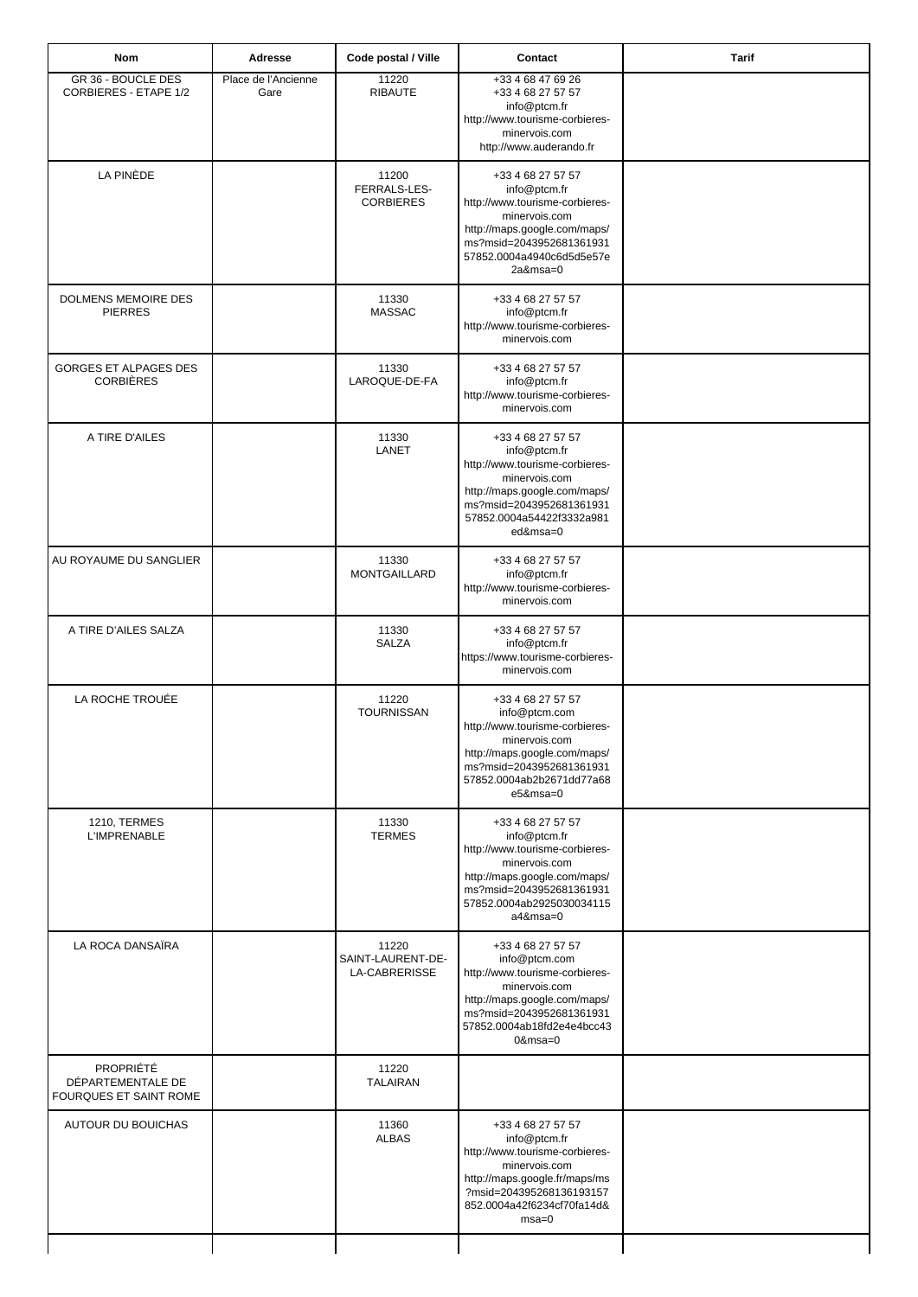| Nom                                                             | Adresse                     | Code postal / Ville                         | Contact                                                                                                                                                                                       | <b>Tarif</b> |
|-----------------------------------------------------------------|-----------------------------|---------------------------------------------|-----------------------------------------------------------------------------------------------------------------------------------------------------------------------------------------------|--------------|
| GR 36 - BOUCLE DES<br><b>CORBIERES - ETAPE 1/2</b>              | Place de l'Ancienne<br>Gare | 11220<br><b>RIBAUTE</b>                     | +33 4 68 47 69 26<br>+33 4 68 27 57 57<br>info@ptcm.fr<br>http://www.tourisme-corbieres-<br>minervois.com<br>http://www.auderando.fr                                                          |              |
| LA PINÈDE                                                       |                             | 11200<br>FERRALS-LES-<br><b>CORBIERES</b>   | +33 4 68 27 57 57<br>info@ptcm.fr<br>http://www.tourisme-corbieres-<br>minervois.com<br>http://maps.google.com/maps/<br>ms?msid=2043952681361931<br>57852.0004a4940c6d5d5e57e<br>$2a$ &msa=0  |              |
| DOLMENS MEMOIRE DES<br><b>PIERRES</b>                           |                             | 11330<br><b>MASSAC</b>                      | +33 4 68 27 57 57<br>info@ptcm.fr<br>http://www.tourisme-corbieres-<br>minervois.com                                                                                                          |              |
| GORGES ET ALPAGES DES<br><b>CORBIÈRES</b>                       |                             | 11330<br>LAROQUE-DE-FA                      | +33 4 68 27 57 57<br>info@ptcm.fr<br>http://www.tourisme-corbieres-<br>minervois.com                                                                                                          |              |
| A TIRE D'AILES                                                  |                             | 11330<br>LANET                              | +33 4 68 27 57 57<br>info@ptcm.fr<br>http://www.tourisme-corbieres-<br>minervois.com<br>http://maps.google.com/maps/<br>ms?msid=2043952681361931<br>57852.0004a54422f3332a981<br>ed&msa=0     |              |
| AU ROYAUME DU SANGLIER                                          |                             | 11330<br><b>MONTGAILLARD</b>                | +33 4 68 27 57 57<br>info@ptcm.fr<br>http://www.tourisme-corbieres-<br>minervois.com                                                                                                          |              |
| A TIRE D'AILES SALZA                                            |                             | 11330<br><b>SALZA</b>                       | +33 4 68 27 57 57<br>info@ptcm.fr<br>https://www.tourisme-corbieres-<br>minervois.com                                                                                                         |              |
| LA ROCHE TROUÉE                                                 |                             | 11220<br><b>TOURNISSAN</b>                  | +33 4 68 27 57 57<br>info@ptcm.com<br>http://www.tourisme-corbieres-<br>minervois.com<br>http://maps.google.com/maps/<br>ms?msid=2043952681361931<br>57852.0004ab2b2671dd77a68<br>e5&msa=0    |              |
| <b>1210, TERMES</b><br><b>L'IMPRENABLE</b>                      |                             | 11330<br><b>TERMES</b>                      | +33 4 68 27 57 57<br>info@ptcm.fr<br>http://www.tourisme-corbieres-<br>minervois.com<br>http://maps.google.com/maps/<br>ms?msid=2043952681361931<br>57852.0004ab2925030034115<br>a4&msa=0     |              |
| LA ROCA DANSAÏRA                                                |                             | 11220<br>SAINT-LAURENT-DE-<br>LA-CABRERISSE | +33 4 68 27 57 57<br>info@ptcm.com<br>http://www.tourisme-corbieres-<br>minervois.com<br>http://maps.google.com/maps/<br>ms?msid=2043952681361931<br>57852.0004ab18fd2e4e4bcc43<br>$0$ &msa=0 |              |
| <b>PROPRIÉTÉ</b><br>DÉPARTEMENTALE DE<br>FOURQUES ET SAINT ROME |                             | 11220<br><b>TALAIRAN</b>                    |                                                                                                                                                                                               |              |
| AUTOUR DU BOUICHAS                                              |                             | 11360<br><b>ALBAS</b>                       | +33 4 68 27 57 57<br>info@ptcm.fr<br>http://www.tourisme-corbieres-<br>minervois.com<br>http://maps.google.fr/maps/ms<br>?msid=204395268136193157<br>852.0004a42f6234cf70fa14d&<br>$msa=0$    |              |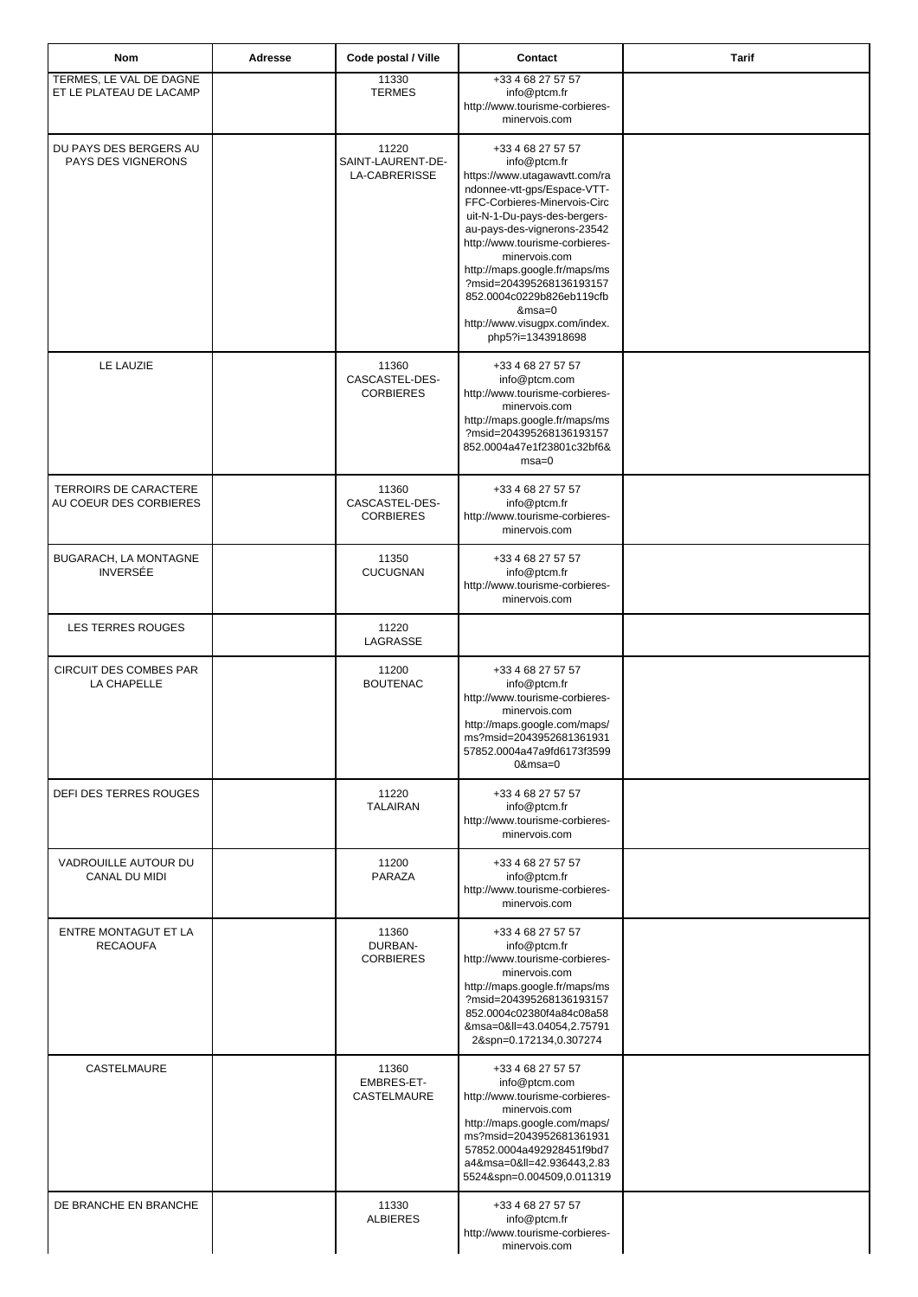| <b>Nom</b>                                         | Adresse | Code postal / Ville                         | Contact                                                                                                                                                                                                                                                                                                                                                                                                         | Tarif |
|----------------------------------------------------|---------|---------------------------------------------|-----------------------------------------------------------------------------------------------------------------------------------------------------------------------------------------------------------------------------------------------------------------------------------------------------------------------------------------------------------------------------------------------------------------|-------|
| TERMES, LE VAL DE DAGNE<br>ET LE PLATEAU DE LACAMP |         | 11330<br><b>TERMES</b>                      | +33 4 68 27 57 57<br>info@ptcm.fr<br>http://www.tourisme-corbieres-<br>minervois.com                                                                                                                                                                                                                                                                                                                            |       |
| DU PAYS DES BERGERS AU<br>PAYS DES VIGNERONS       |         | 11220<br>SAINT-LAURENT-DE-<br>LA-CABRERISSE | +33 4 68 27 57 57<br>info@ptcm.fr<br>https://www.utagawavtt.com/ra<br>ndonnee-vtt-gps/Espace-VTT-<br>FFC-Corbieres-Minervois-Circ<br>uit-N-1-Du-pays-des-bergers-<br>au-pays-des-vignerons-23542<br>http://www.tourisme-corbieres-<br>minervois.com<br>http://maps.google.fr/maps/ms<br>?msid=204395268136193157<br>852.0004c0229b826eb119cfb<br>$&msa=0$<br>http://www.visugpx.com/index.<br>php5?i=1343918698 |       |
| LE LAUZIE                                          |         | 11360<br>CASCASTEL-DES-<br><b>CORBIERES</b> | +33 4 68 27 57 57<br>info@ptcm.com<br>http://www.tourisme-corbieres-<br>minervois.com<br>http://maps.google.fr/maps/ms<br>?msid=204395268136193157<br>852.0004a47e1f23801c32bf6&<br>$msa=0$                                                                                                                                                                                                                     |       |
| TERROIRS DE CARACTERE<br>AU COEUR DES CORBIERES    |         | 11360<br>CASCASTEL-DES-<br><b>CORBIERES</b> | +33 4 68 27 57 57<br>info@ptcm.fr<br>http://www.tourisme-corbieres-<br>minervois.com                                                                                                                                                                                                                                                                                                                            |       |
| BUGARACH, LA MONTAGNE<br><b>INVERSÉE</b>           |         | 11350<br><b>CUCUGNAN</b>                    | +33 4 68 27 57 57<br>info@ptcm.fr<br>http://www.tourisme-corbieres-<br>minervois.com                                                                                                                                                                                                                                                                                                                            |       |
| LES TERRES ROUGES                                  |         | 11220<br>LAGRASSE                           |                                                                                                                                                                                                                                                                                                                                                                                                                 |       |
| CIRCUIT DES COMBES PAR<br>LA CHAPELLE              |         | 11200<br><b>BOUTENAC</b>                    | +33 4 68 27 57 57<br>info@ptcm.fr<br>http://www.tourisme-corbieres-<br>minervois.com<br>http://maps.google.com/maps/<br>ms?msid=2043952681361931<br>57852.0004a47a9fd6173f3599<br>$0$ &msa= $0$                                                                                                                                                                                                                 |       |
| <b>DEFI DES TERRES ROUGES</b>                      |         | 11220<br><b>TALAIRAN</b>                    | +33 4 68 27 57 57<br>info@ptcm.fr<br>http://www.tourisme-corbieres-<br>minervois.com                                                                                                                                                                                                                                                                                                                            |       |
| VADROUILLE AUTOUR DU<br>CANAL DU MIDI              |         | 11200<br>PARAZA                             | +33 4 68 27 57 57<br>info@ptcm.fr<br>http://www.tourisme-corbieres-<br>minervois.com                                                                                                                                                                                                                                                                                                                            |       |
| ENTRE MONTAGUT ET LA<br><b>RECAOUFA</b>            |         | 11360<br>DURBAN-<br><b>CORBIERES</b>        | +33 4 68 27 57 57<br>info@ptcm.fr<br>http://www.tourisme-corbieres-<br>minervois.com<br>http://maps.google.fr/maps/ms<br>?msid=204395268136193157<br>852.0004c02380f4a84c08a58<br>&msa=0≪=43.04054,2.75791<br>2&spn=0.172134,0.307274                                                                                                                                                                           |       |
| CASTELMAURE                                        |         | 11360<br>EMBRES-ET-<br>CASTELMAURE          | +33 4 68 27 57 57<br>info@ptcm.com<br>http://www.tourisme-corbieres-<br>minervois.com<br>http://maps.google.com/maps/<br>ms?msid=2043952681361931<br>57852.0004a492928451f9bd7<br>a4&msa=0≪=42.936443,2.83<br>5524&spn=0.004509,0.011319                                                                                                                                                                        |       |
| DE BRANCHE EN BRANCHE                              |         | 11330<br><b>ALBIERES</b>                    | +33 4 68 27 57 57<br>info@ptcm.fr<br>http://www.tourisme-corbieres-<br>minervois.com                                                                                                                                                                                                                                                                                                                            |       |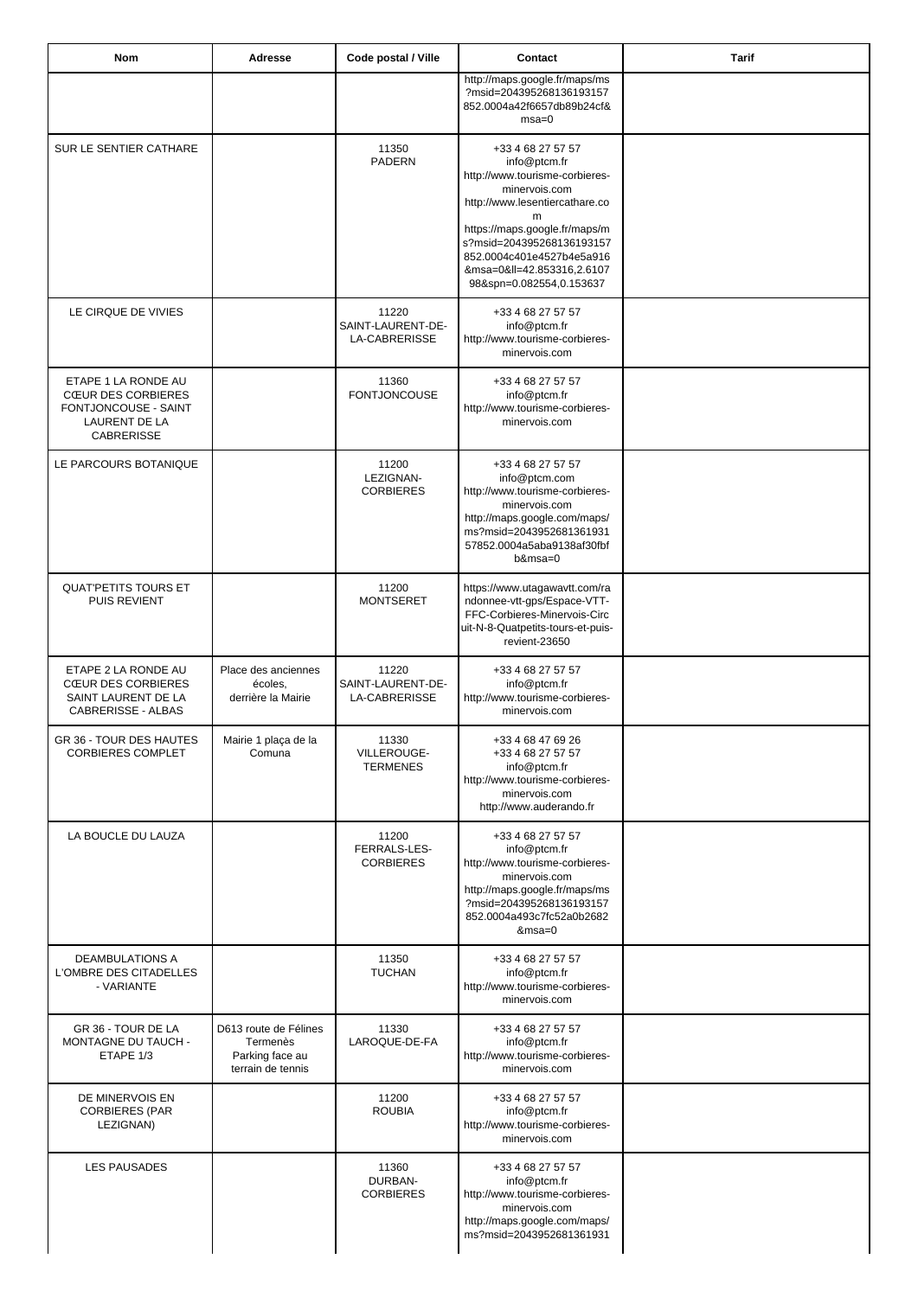| <b>Nom</b>                                                                                                            | Adresse                                                                   | Code postal / Ville                         | Contact                                                                                                                                                                                                                                            | <b>Tarif</b> |
|-----------------------------------------------------------------------------------------------------------------------|---------------------------------------------------------------------------|---------------------------------------------|----------------------------------------------------------------------------------------------------------------------------------------------------------------------------------------------------------------------------------------------------|--------------|
|                                                                                                                       |                                                                           |                                             | http://maps.google.fr/maps/ms<br>?msid=204395268136193157<br>852.0004a42f6657db89b24cf&<br>$msa=0$                                                                                                                                                 |              |
| SUR LE SENTIER CATHARE                                                                                                |                                                                           | 11350<br>PADERN                             | +33 4 68 27 57 57<br>info@ptcm.fr<br>http://www.tourisme-corbieres-<br>minervois.com<br>http://www.lesentiercathare.co<br>m<br>https://maps.google.fr/maps/m<br>s?msid=204395268136193157<br>852.0004c401e4527b4e5a916<br>&msa=0≪=42.853316,2.6107 |              |
| LE CIRQUE DE VIVIES                                                                                                   |                                                                           | 11220<br>SAINT-LAURENT-DE-<br>LA-CABRERISSE | 98&spn=0.082554,0.153637<br>+33 4 68 27 57 57<br>info@ptcm.fr<br>http://www.tourisme-corbieres-<br>minervois.com                                                                                                                                   |              |
| ETAPE 1 LA RONDE AU<br><b>CŒUR DES CORBIERES</b><br>FONTJONCOUSE - SAINT<br><b>LAURENT DE LA</b><br><b>CABRERISSE</b> |                                                                           | 11360<br><b>FONTJONCOUSE</b>                | +33 4 68 27 57 57<br>info@ptcm.fr<br>http://www.tourisme-corbieres-<br>minervois.com                                                                                                                                                               |              |
| LE PARCOURS BOTANIQUE                                                                                                 |                                                                           | 11200<br>LEZIGNAN-<br><b>CORBIERES</b>      | +33 4 68 27 57 57<br>info@ptcm.com<br>http://www.tourisme-corbieres-<br>minervois.com<br>http://maps.google.com/maps/<br>ms?msid=2043952681361931<br>57852.0004a5aba9138af30fbf<br>$b$ &msa=0                                                      |              |
| <b>QUAT'PETITS TOURS ET</b><br><b>PUIS REVIENT</b>                                                                    |                                                                           | 11200<br><b>MONTSERET</b>                   | https://www.utagawavtt.com/ra<br>ndonnee-vtt-gps/Espace-VTT-<br>FFC-Corbieres-Minervois-Circ<br>uit-N-8-Quatpetits-tours-et-puis-<br>revient-23650                                                                                                 |              |
| ETAPE 2 LA RONDE AU<br><b>CŒUR DES CORBIERES</b><br>SAINT LAURENT DE LA<br>CABRERISSE - ALBAS                         | Place des anciennes<br>écoles,<br>derrière la Mairie                      | 11220<br>SAINT-LAURENT-DE-<br>LA-CABRERISSE | +33 4 68 27 57 57<br>info@ptcm.fr<br>http://www.tourisme-corbieres-<br>minervois.com                                                                                                                                                               |              |
| GR 36 - TOUR DES HAUTES<br><b>CORBIERES COMPLET</b>                                                                   | Mairie 1 plaça de la<br>Comuna                                            | 11330<br>VILLEROUGE-<br><b>TERMENES</b>     | +33 4 68 47 69 26<br>+33 4 68 27 57 57<br>info@ptcm.fr<br>http://www.tourisme-corbieres-<br>minervois.com<br>http://www.auderando.fr                                                                                                               |              |
| LA BOUCLE DU LAUZA                                                                                                    |                                                                           | 11200<br>FERRALS-LES-<br><b>CORBIERES</b>   | +33 4 68 27 57 57<br>info@ptcm.fr<br>http://www.tourisme-corbieres-<br>minervois.com<br>http://maps.google.fr/maps/ms<br>?msid=204395268136193157<br>852.0004a493c7fc52a0b2682<br>$&msa=0$                                                         |              |
| DEAMBULATIONS A<br>L'OMBRE DES CITADELLES<br>- VARIANTE                                                               |                                                                           | 11350<br><b>TUCHAN</b>                      | +33 4 68 27 57 57<br>info@ptcm.fr<br>http://www.tourisme-corbieres-<br>minervois.com                                                                                                                                                               |              |
| GR 36 - TOUR DE LA<br>MONTAGNE DU TAUCH -<br>ETAPE 1/3                                                                | D613 route de Félines<br>Termenès<br>Parking face au<br>terrain de tennis | 11330<br>LAROQUE-DE-FA                      | +33 4 68 27 57 57<br>info@ptcm.fr<br>http://www.tourisme-corbieres-<br>minervois.com                                                                                                                                                               |              |
| DE MINERVOIS EN<br><b>CORBIERES (PAR</b><br>LEZIGNAN)                                                                 |                                                                           | 11200<br><b>ROUBIA</b>                      | +33 4 68 27 57 57<br>info@ptcm.fr<br>http://www.tourisme-corbieres-<br>minervois.com                                                                                                                                                               |              |
| <b>LES PAUSADES</b>                                                                                                   |                                                                           | 11360<br>DURBAN-<br><b>CORBIERES</b>        | +33 4 68 27 57 57<br>info@ptcm.fr<br>http://www.tourisme-corbieres-<br>minervois.com<br>http://maps.google.com/maps/<br>ms?msid=2043952681361931                                                                                                   |              |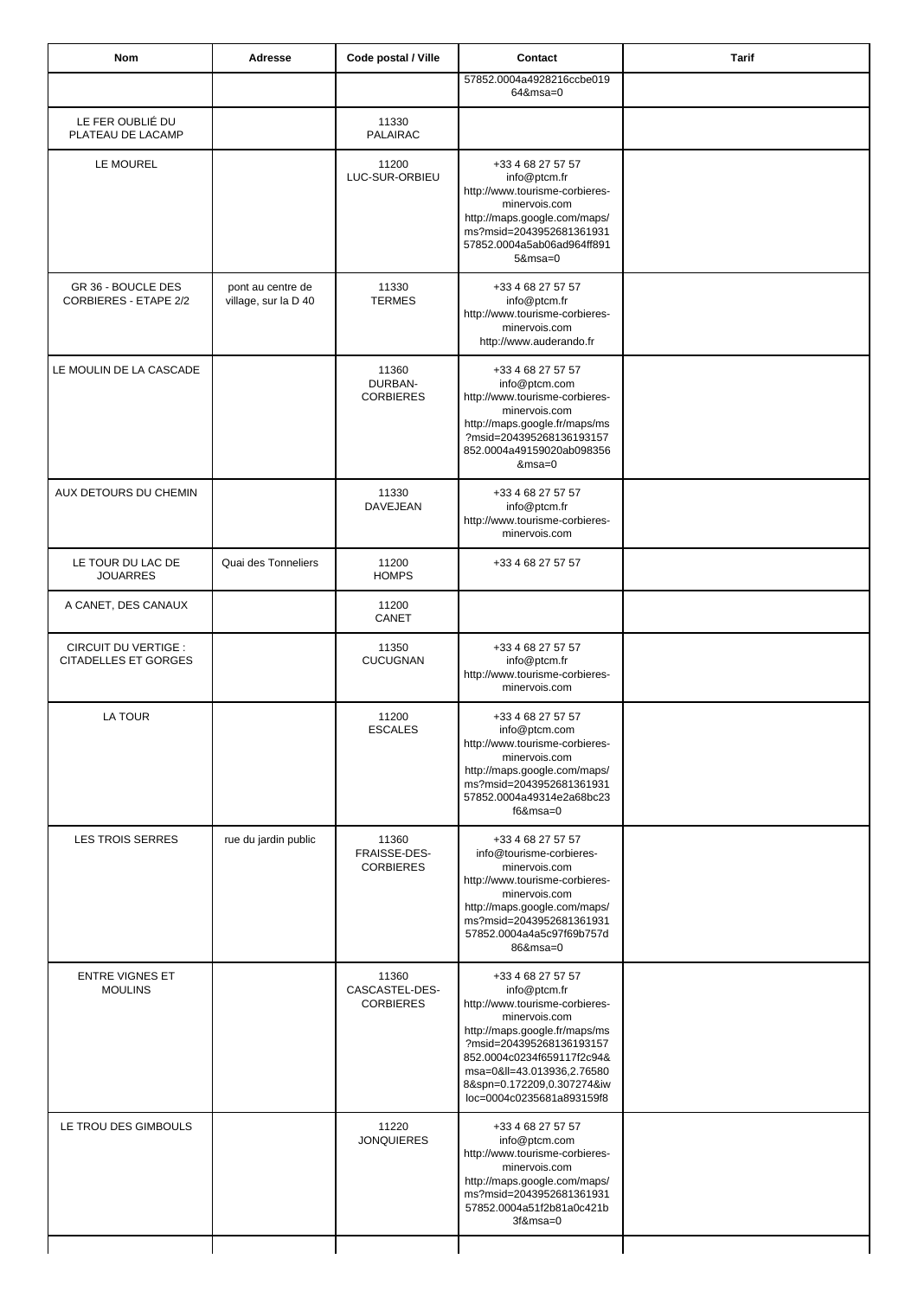| Nom                                                        | Adresse                                   | Code postal / Ville                         | Contact                                                                                                                                                                                                                                                                | <b>Tarif</b> |
|------------------------------------------------------------|-------------------------------------------|---------------------------------------------|------------------------------------------------------------------------------------------------------------------------------------------------------------------------------------------------------------------------------------------------------------------------|--------------|
|                                                            |                                           |                                             | 57852.0004a4928216ccbe019<br>64&msa=0                                                                                                                                                                                                                                  |              |
| LE FER OUBLIÉ DU<br>PLATEAU DE LACAMP                      |                                           | 11330<br><b>PALAIRAC</b>                    |                                                                                                                                                                                                                                                                        |              |
| LE MOUREL                                                  |                                           | 11200<br>LUC-SUR-ORBIEU                     | +33 4 68 27 57 57<br>info@ptcm.fr<br>http://www.tourisme-corbieres-<br>minervois.com<br>http://maps.google.com/maps/<br>ms?msid=2043952681361931<br>57852.0004a5ab06ad964ff891<br>$5$ &msa=0                                                                           |              |
| GR 36 - BOUCLE DES<br><b>CORBIERES - ETAPE 2/2</b>         | pont au centre de<br>village, sur la D 40 | 11330<br><b>TERMES</b>                      | +33 4 68 27 57 57<br>info@ptcm.fr<br>http://www.tourisme-corbieres-<br>minervois.com<br>http://www.auderando.fr                                                                                                                                                        |              |
| LE MOULIN DE LA CASCADE                                    |                                           | 11360<br>DURBAN-<br><b>CORBIERES</b>        | +33 4 68 27 57 57<br>info@ptcm.com<br>http://www.tourisme-corbieres-<br>minervois.com<br>http://maps.google.fr/maps/ms<br>?msid=204395268136193157<br>852.0004a49159020ab098356<br>&msa=0                                                                              |              |
| AUX DETOURS DU CHEMIN                                      |                                           | 11330<br>DAVEJEAN                           | +33 4 68 27 57 57<br>info@ptcm.fr<br>http://www.tourisme-corbieres-<br>minervois.com                                                                                                                                                                                   |              |
| LE TOUR DU LAC DE<br><b>JOUARRES</b>                       | Quai des Tonneliers                       | 11200<br><b>HOMPS</b>                       | +33 4 68 27 57 57                                                                                                                                                                                                                                                      |              |
| A CANET, DES CANAUX                                        |                                           | 11200<br>CANET                              |                                                                                                                                                                                                                                                                        |              |
| <b>CIRCUIT DU VERTIGE :</b><br><b>CITADELLES ET GORGES</b> |                                           | 11350<br><b>CUCUGNAN</b>                    | +33 4 68 27 57 57<br>info@ptcm.fr<br>http://www.tourisme-corbieres-<br>minervois.com                                                                                                                                                                                   |              |
| LA TOUR                                                    |                                           | 11200<br><b>ESCALES</b>                     | +33 4 68 27 57 57<br>info@ptcm.com<br>http://www.tourisme-corbieres-<br>minervois.com<br>http://maps.google.com/maps/<br>ms?msid=2043952681361931<br>57852.0004a49314e2a68bc23<br>$f6&msa=0$                                                                           |              |
| <b>LES TROIS SERRES</b>                                    | rue du jardin public                      | 11360<br>FRAISSE-DES-<br><b>CORBIERES</b>   | +33 4 68 27 57 57<br>info@tourisme-corbieres-<br>minervois.com<br>http://www.tourisme-corbieres-<br>minervois.com<br>http://maps.google.com/maps/<br>ms?msid=2043952681361931<br>57852.0004a4a5c97f69b757d<br>86&msa=0                                                 |              |
| <b>ENTRE VIGNES ET</b><br><b>MOULINS</b>                   |                                           | 11360<br>CASCASTEL-DES-<br><b>CORBIERES</b> | +33 4 68 27 57 57<br>info@ptcm.fr<br>http://www.tourisme-corbieres-<br>minervois.com<br>http://maps.google.fr/maps/ms<br>?msid=204395268136193157<br>852.0004c0234f659117f2c94&<br>msa=0≪=43.013936,2.76580<br>8&spn=0.172209,0.307274&iw<br>loc=0004c0235681a893159f8 |              |
| LE TROU DES GIMBOULS                                       |                                           | 11220<br><b>JONQUIERES</b>                  | +33 4 68 27 57 57<br>info@ptcm.com<br>http://www.tourisme-corbieres-<br>minervois.com<br>http://maps.google.com/maps/<br>ms?msid=2043952681361931<br>57852.0004a51f2b81a0c421b<br>3f&msa=0                                                                             |              |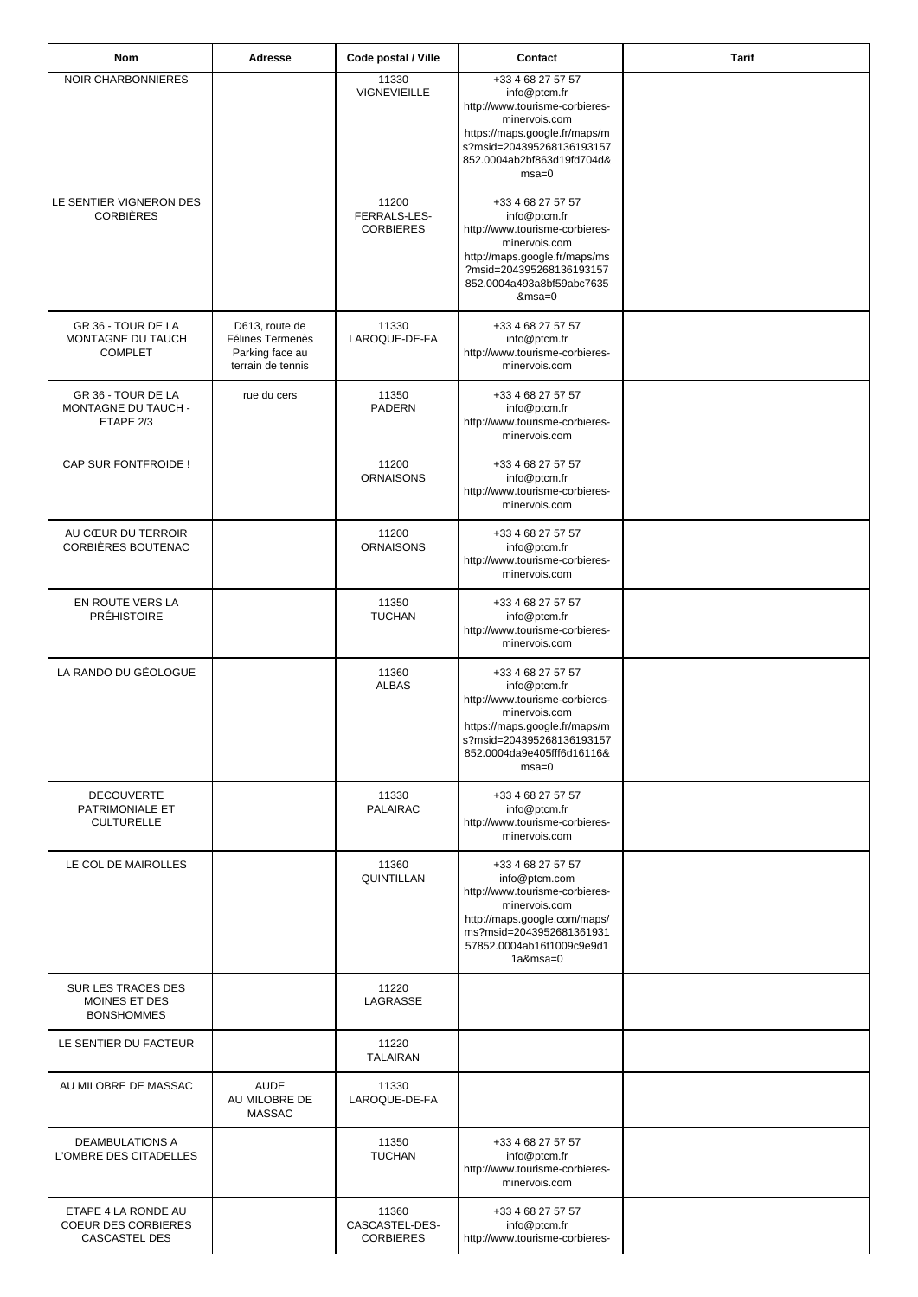| Nom                                                                | Adresse                                                                    | Code postal / Ville                         | Contact                                                                                                                                                                                     | <b>Tarif</b> |
|--------------------------------------------------------------------|----------------------------------------------------------------------------|---------------------------------------------|---------------------------------------------------------------------------------------------------------------------------------------------------------------------------------------------|--------------|
| NOIR CHARBONNIERES                                                 |                                                                            | 11330<br>VIGNEVIEILLE                       | +33 4 68 27 57 57<br>info@ptcm.fr<br>http://www.tourisme-corbieres-<br>minervois.com<br>https://maps.google.fr/maps/m<br>s?msid=204395268136193157<br>852.0004ab2bf863d19fd704d&<br>$msa=0$ |              |
| LE SENTIER VIGNERON DES<br><b>CORBIÈRES</b>                        |                                                                            | 11200<br>FERRALS-LES-<br><b>CORBIERES</b>   | +33 4 68 27 57 57<br>info@ptcm.fr<br>http://www.tourisme-corbieres-<br>minervois.com<br>http://maps.google.fr/maps/ms<br>?msid=204395268136193157<br>852.0004a493a8bf59abc7635<br>$&msa=0$  |              |
| GR 36 - TOUR DE LA<br>MONTAGNE DU TAUCH<br><b>COMPLET</b>          | D613, route de<br>Félines Termenès<br>Parking face au<br>terrain de tennis | 11330<br>LAROQUE-DE-FA                      | +33 4 68 27 57 57<br>info@ptcm.fr<br>http://www.tourisme-corbieres-<br>minervois.com                                                                                                        |              |
| GR 36 - TOUR DE LA<br><b>MONTAGNE DU TAUCH -</b><br>ETAPE 2/3      | rue du cers                                                                | 11350<br>PADERN                             | +33 4 68 27 57 57<br>info@ptcm.fr<br>http://www.tourisme-corbieres-<br>minervois.com                                                                                                        |              |
| CAP SUR FONTFROIDE !                                               |                                                                            | 11200<br><b>ORNAISONS</b>                   | +33 4 68 27 57 57<br>info@ptcm.fr<br>http://www.tourisme-corbieres-<br>minervois.com                                                                                                        |              |
| AU CŒUR DU TERROIR<br>CORBIÈRES BOUTENAC                           |                                                                            | 11200<br><b>ORNAISONS</b>                   | +33 4 68 27 57 57<br>info@ptcm.fr<br>http://www.tourisme-corbieres-<br>minervois.com                                                                                                        |              |
| EN ROUTE VERS LA<br><b>PRÉHISTOIRE</b>                             |                                                                            | 11350<br><b>TUCHAN</b>                      | +33 4 68 27 57 57<br>info@ptcm.fr<br>http://www.tourisme-corbieres-<br>minervois.com                                                                                                        |              |
| LA RANDO DU GÉOLOGUE                                               |                                                                            | 11360<br><b>ALBAS</b>                       | +33 4 68 27 57 57<br>info@ptcm.fr<br>http://www.tourisme-corbieres-<br>minervois.com<br>https://maps.google.fr/maps/m<br>s?msid=204395268136193157<br>852.0004da9e405fff6d16116&<br>$msa=0$ |              |
| <b>DECOUVERTE</b><br>PATRIMONIALE ET<br><b>CULTURELLE</b>          |                                                                            | 11330<br>PALAIRAC                           | +33 4 68 27 57 57<br>info@ptcm.fr<br>http://www.tourisme-corbieres-<br>minervois.com                                                                                                        |              |
| LE COL DE MAIROLLES                                                |                                                                            | 11360<br>QUINTILLAN                         | +33 4 68 27 57 57<br>info@ptcm.com<br>http://www.tourisme-corbieres-<br>minervois.com<br>http://maps.google.com/maps/<br>ms?msid=2043952681361931<br>57852.0004ab16f1009c9e9d1<br>1a&msa=0  |              |
| SUR LES TRACES DES<br>MOINES ET DES<br><b>BONSHOMMES</b>           |                                                                            | 11220<br>LAGRASSE                           |                                                                                                                                                                                             |              |
| LE SENTIER DU FACTEUR                                              |                                                                            | 11220<br><b>TALAIRAN</b>                    |                                                                                                                                                                                             |              |
| AU MILOBRE DE MASSAC                                               | <b>AUDE</b><br>AU MILOBRE DE<br><b>MASSAC</b>                              | 11330<br>LAROQUE-DE-FA                      |                                                                                                                                                                                             |              |
| <b>DEAMBULATIONS A</b><br>L'OMBRE DES CITADELLES                   |                                                                            | 11350<br><b>TUCHAN</b>                      | +33 4 68 27 57 57<br>info@ptcm.fr<br>http://www.tourisme-corbieres-<br>minervois.com                                                                                                        |              |
| ETAPE 4 LA RONDE AU<br><b>COEUR DES CORBIERES</b><br>CASCASTEL DES |                                                                            | 11360<br>CASCASTEL-DES-<br><b>CORBIERES</b> | +33 4 68 27 57 57<br>info@ptcm.fr<br>http://www.tourisme-corbieres-                                                                                                                         |              |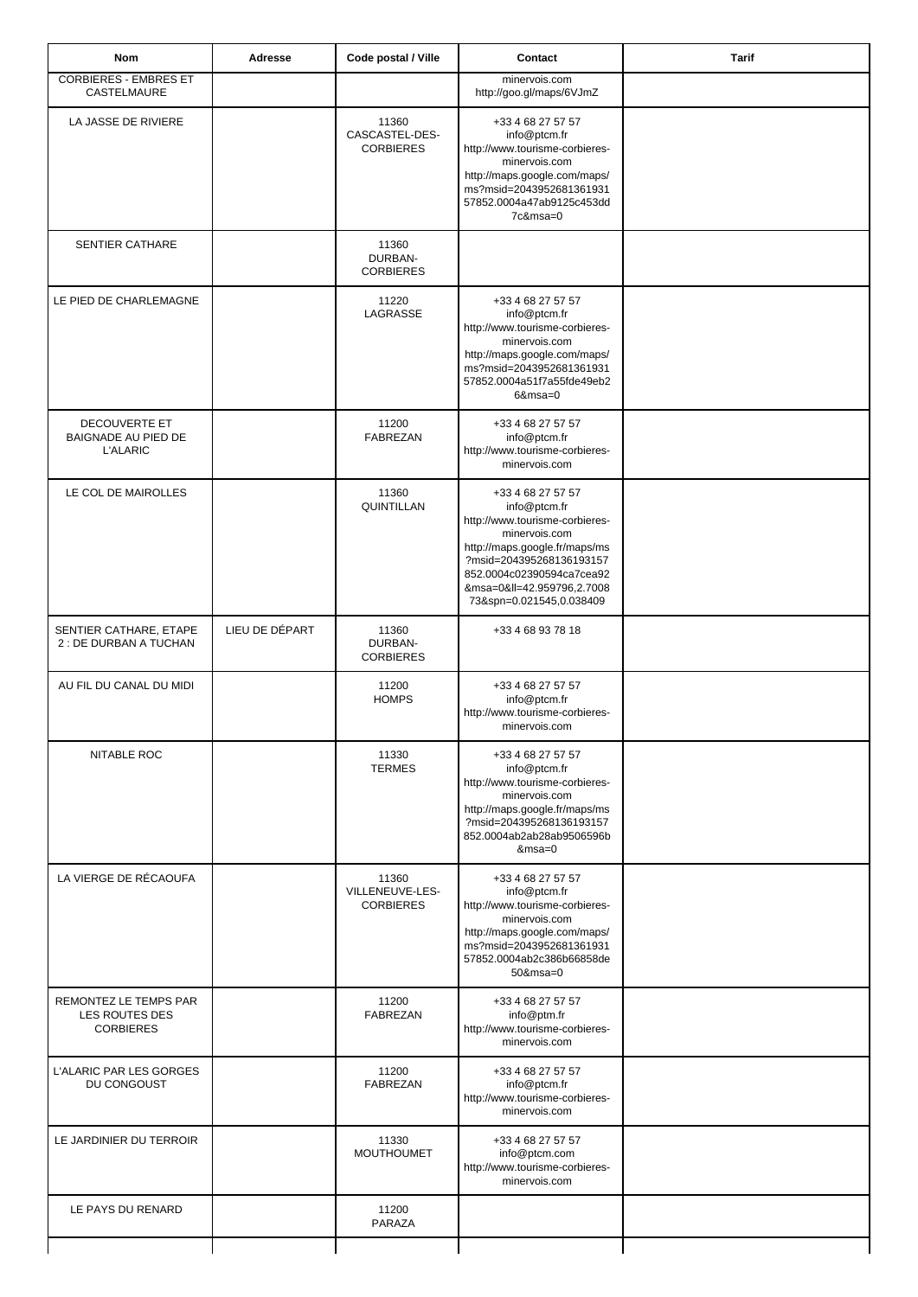| <b>Nom</b>                                                  | <b>Adresse</b> | Code postal / Ville                          | Contact                                                                                                                                                                                                                                | <b>Tarif</b> |
|-------------------------------------------------------------|----------------|----------------------------------------------|----------------------------------------------------------------------------------------------------------------------------------------------------------------------------------------------------------------------------------------|--------------|
| <b>CORBIERES - EMBRES ET</b><br>CASTELMAURE                 |                |                                              | minervois.com<br>http://goo.gl/maps/6VJmZ                                                                                                                                                                                              |              |
| LA JASSE DE RIVIERE                                         |                | 11360<br>CASCASTEL-DES-<br><b>CORBIERES</b>  | +33 4 68 27 57 57<br>info@ptcm.fr<br>http://www.tourisme-corbieres-<br>minervois.com<br>http://maps.google.com/maps/<br>ms?msid=2043952681361931<br>57852.0004a47ab9125c453dd<br>7c&msa=0                                              |              |
| <b>SENTIER CATHARE</b>                                      |                | 11360<br>DURBAN-<br><b>CORBIERES</b>         |                                                                                                                                                                                                                                        |              |
| LE PIED DE CHARLEMAGNE                                      |                | 11220<br>LAGRASSE                            | +33 4 68 27 57 57<br>info@ptcm.fr<br>http://www.tourisme-corbieres-<br>minervois.com<br>http://maps.google.com/maps/<br>ms?msid=2043952681361931<br>57852.0004a51f7a55fde49eb2<br>$6$ &msa=0                                           |              |
| DECOUVERTE ET<br>BAIGNADE AU PIED DE<br><b>L'ALARIC</b>     |                | 11200<br>FABREZAN                            | +33 4 68 27 57 57<br>info@ptcm.fr<br>http://www.tourisme-corbieres-<br>minervois.com                                                                                                                                                   |              |
| LE COL DE MAIROLLES                                         |                | 11360<br>QUINTILLAN                          | +33 4 68 27 57 57<br>info@ptcm.fr<br>http://www.tourisme-corbieres-<br>minervois.com<br>http://maps.google.fr/maps/ms<br>?msid=204395268136193157<br>852.0004c02390594ca7cea92<br>&msa=0≪=42.959796,2.7008<br>73&spn=0.021545,0.038409 |              |
| SENTIER CATHARE, ETAPE<br>2 : DE DURBAN A TUCHAN            | LIEU DE DÉPART | 11360<br>DURBAN-<br><b>CORBIERES</b>         | +33 4 68 93 78 18                                                                                                                                                                                                                      |              |
| AU FIL DU CANAL DU MIDI                                     |                | 11200<br><b>HOMPS</b>                        | +33 4 68 27 57 57<br>info@ptcm.fr<br>http://www.tourisme-corbieres-<br>minervois.com                                                                                                                                                   |              |
| NITABLE ROC                                                 |                | 11330<br><b>TERMES</b>                       | +33 4 68 27 57 57<br>info@ptcm.fr<br>http://www.tourisme-corbieres-<br>minervois.com<br>http://maps.google.fr/maps/ms<br>?msid=204395268136193157<br>852.0004ab2ab28ab9506596b<br>$&msa=0$                                             |              |
| LA VIERGE DE RÉCAOUFA                                       |                | 11360<br>VILLENEUVE-LES-<br><b>CORBIERES</b> | +33 4 68 27 57 57<br>info@ptcm.fr<br>http://www.tourisme-corbieres-<br>minervois.com<br>http://maps.google.com/maps/<br>ms?msid=2043952681361931<br>57852.0004ab2c386b66858de<br>50&msa=0                                              |              |
| REMONTEZ LE TEMPS PAR<br>LES ROUTES DES<br><b>CORBIERES</b> |                | 11200<br>FABREZAN                            | +33 4 68 27 57 57<br>info@ptm.fr<br>http://www.tourisme-corbieres-<br>minervois.com                                                                                                                                                    |              |
| L'ALARIC PAR LES GORGES<br>DU CONGOUST                      |                | 11200<br>FABREZAN                            | +33 4 68 27 57 57<br>info@ptcm.fr<br>http://www.tourisme-corbieres-<br>minervois.com                                                                                                                                                   |              |
| LE JARDINIER DU TERROIR                                     |                | 11330<br><b>MOUTHOUMET</b>                   | +33 4 68 27 57 57<br>info@ptcm.com<br>http://www.tourisme-corbieres-<br>minervois.com                                                                                                                                                  |              |
| LE PAYS DU RENARD                                           |                | 11200<br>PARAZA                              |                                                                                                                                                                                                                                        |              |